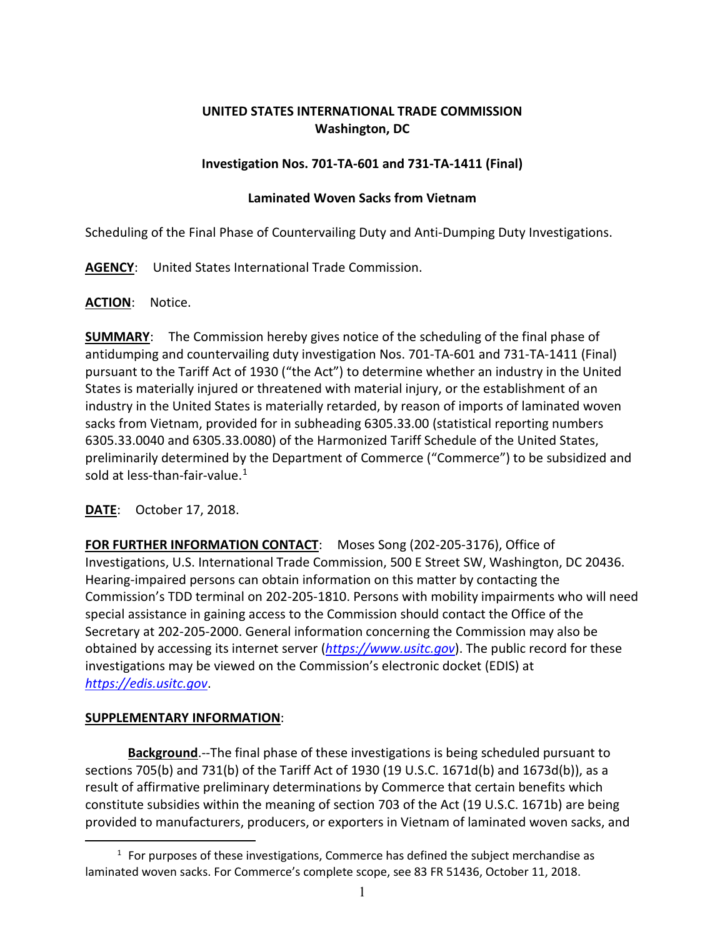## **UNITED STATES INTERNATIONAL TRADE COMMISSION Washington, DC**

## **Investigation Nos. 701-TA-601 and 731-TA-1411 (Final)**

## **Laminated Woven Sacks from Vietnam**

Scheduling of the Final Phase of Countervailing Duty and Anti-Dumping Duty Investigations.

**AGENCY**: United States International Trade Commission.

## **ACTION**: Notice.

**SUMMARY**: The Commission hereby gives notice of the scheduling of the final phase of antidumping and countervailing duty investigation Nos. 701-TA-601 and 731-TA-1411 (Final) pursuant to the Tariff Act of 1930 ("the Act") to determine whether an industry in the United States is materially injured or threatened with material injury, or the establishment of an industry in the United States is materially retarded, by reason of imports of laminated woven sacks from Vietnam, provided for in subheading 6305.33.00 (statistical reporting numbers 6305.33.0040 and 6305.33.0080) of the Harmonized Tariff Schedule of the United States, preliminarily determined by the Department of Commerce ("Commerce") to be subsidized and sold at less-than-fair-value. $1$ 

**DATE**: October 17, 2018.

**FOR FURTHER INFORMATION CONTACT**: Moses Song (202-205-3176), Office of Investigations, U.S. International Trade Commission, 500 E Street SW, Washington, DC 20436. Hearing-impaired persons can obtain information on this matter by contacting the Commission's TDD terminal on 202-205-1810. Persons with mobility impairments who will need special assistance in gaining access to the Commission should contact the Office of the Secretary at 202-205-2000. General information concerning the Commission may also be obtained by accessing its internet server (*[https://www.usitc.gov](https://www.usitc.gov/)*). The public record for these investigations may be viewed on the Commission's electronic docket (EDIS) at *[https://edis.usitc.gov](https://edis.usitc.gov/)*.

# **SUPPLEMENTARY INFORMATION**:

 $\overline{a}$ 

**Background**.--The final phase of these investigations is being scheduled pursuant to sections 705(b) and 731(b) of the Tariff Act of 1930 (19 U.S.C. 1671d(b) and 1673d(b)), as a result of affirmative preliminary determinations by Commerce that certain benefits which constitute subsidies within the meaning of section 703 of the Act (19 U.S.C. 1671b) are being provided to manufacturers, producers, or exporters in Vietnam of laminated woven sacks, and

<span id="page-0-0"></span> $1$  For purposes of these investigations, Commerce has defined the subject merchandise as laminated woven sacks. For Commerce's complete scope, see 83 FR 51436, October 11, 2018.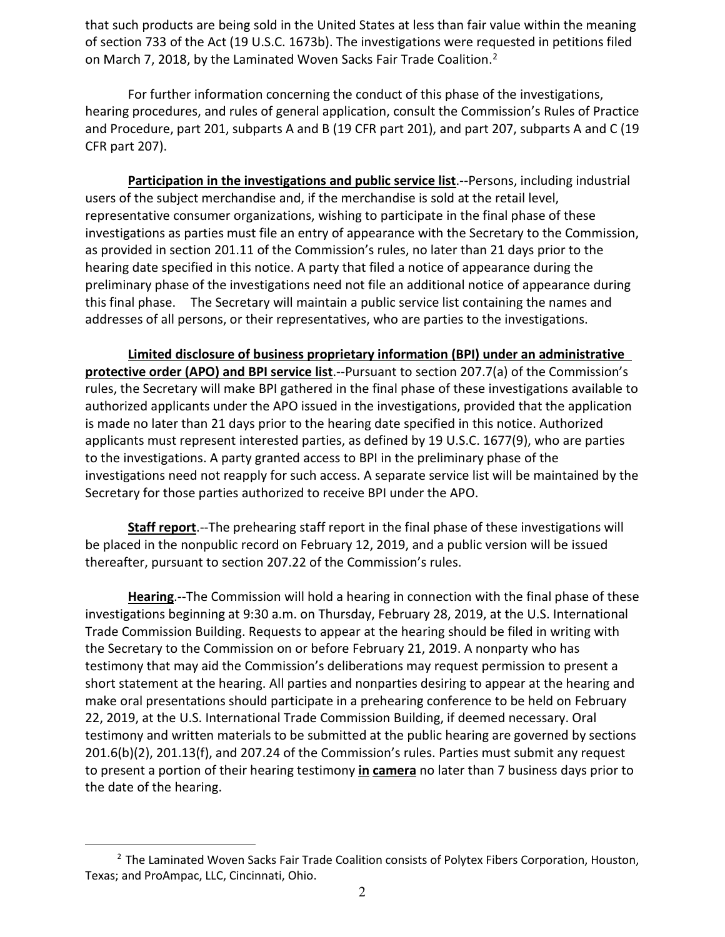that such products are being sold in the United States at less than fair value within the meaning of section 733 of the Act (19 U.S.C. 1673b). The investigations were requested in petitions filed on March 7, [2](#page-1-0)018, by the Laminated Woven Sacks Fair Trade Coalition.<sup>2</sup>

For further information concerning the conduct of this phase of the investigations, hearing procedures, and rules of general application, consult the Commission's Rules of Practice and Procedure, part 201, subparts A and B (19 CFR part 201), and part 207, subparts A and C (19 CFR part 207).

**Participation in the investigations and public service list**.--Persons, including industrial users of the subject merchandise and, if the merchandise is sold at the retail level, representative consumer organizations, wishing to participate in the final phase of these investigations as parties must file an entry of appearance with the Secretary to the Commission, as provided in section 201.11 of the Commission's rules, no later than 21 days prior to the hearing date specified in this notice. A party that filed a notice of appearance during the preliminary phase of the investigations need not file an additional notice of appearance during this final phase. The Secretary will maintain a public service list containing the names and addresses of all persons, or their representatives, who are parties to the investigations.

**Limited disclosure of business proprietary information (BPI) under an administrative protective order (APO) and BPI service list**.--Pursuant to section 207.7(a) of the Commission's rules, the Secretary will make BPI gathered in the final phase of these investigations available to authorized applicants under the APO issued in the investigations, provided that the application is made no later than 21 days prior to the hearing date specified in this notice. Authorized applicants must represent interested parties, as defined by 19 U.S.C. 1677(9), who are parties to the investigations. A party granted access to BPI in the preliminary phase of the investigations need not reapply for such access. A separate service list will be maintained by the Secretary for those parties authorized to receive BPI under the APO.

**Staff report**.--The prehearing staff report in the final phase of these investigations will be placed in the nonpublic record on February 12, 2019, and a public version will be issued thereafter, pursuant to section 207.22 of the Commission's rules.

**Hearing**.--The Commission will hold a hearing in connection with the final phase of these investigations beginning at 9:30 a.m. on Thursday, February 28, 2019, at the U.S. International Trade Commission Building. Requests to appear at the hearing should be filed in writing with the Secretary to the Commission on or before February 21, 2019. A nonparty who has testimony that may aid the Commission's deliberations may request permission to present a short statement at the hearing. All parties and nonparties desiring to appear at the hearing and make oral presentations should participate in a prehearing conference to be held on February 22, 2019, at the U.S. International Trade Commission Building, if deemed necessary. Oral testimony and written materials to be submitted at the public hearing are governed by sections 201.6(b)(2), 201.13(f), and 207.24 of the Commission's rules. Parties must submit any request to present a portion of their hearing testimony **in camera** no later than 7 business days prior to the date of the hearing.

 $\overline{a}$ 

<span id="page-1-0"></span><sup>&</sup>lt;sup>2</sup> The Laminated Woven Sacks Fair Trade Coalition consists of Polytex Fibers Corporation, Houston, Texas; and ProAmpac, LLC, Cincinnati, Ohio.